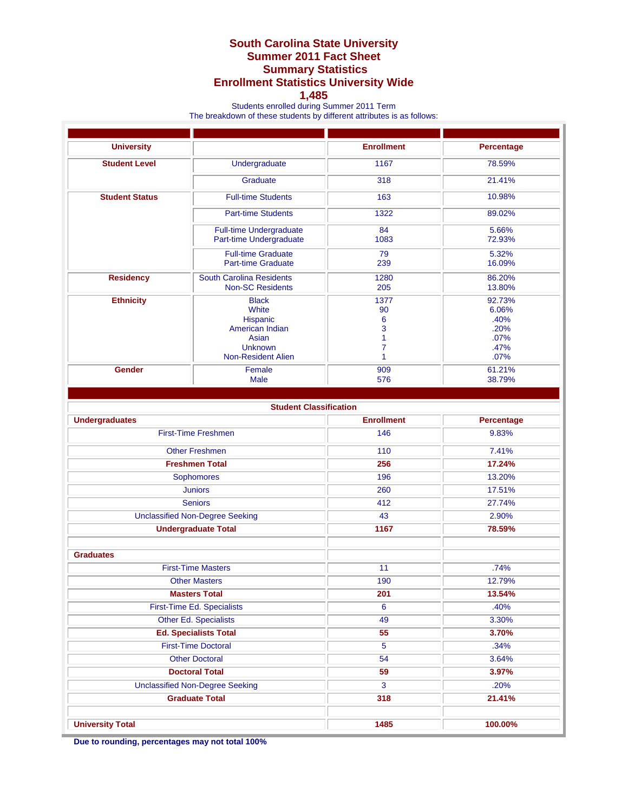## **South Carolina State University Summer 2011 Fact Sheet Summary Statistics Enrollment Statistics University Wide**

## **1,485**

Students enrolled during Summer 2011 Term

The breakdown of these students by different attributes is as follows:

| <b>University</b>                      |                                                                                                              | <b>Enrollment</b>                   | <b>Percentage</b>                                       |
|----------------------------------------|--------------------------------------------------------------------------------------------------------------|-------------------------------------|---------------------------------------------------------|
| <b>Student Level</b>                   | Undergraduate                                                                                                | 1167                                | 78.59%                                                  |
|                                        | Graduate                                                                                                     | 318                                 | 21.41%                                                  |
| <b>Student Status</b>                  | <b>Full-time Students</b>                                                                                    | 163                                 | 10.98%                                                  |
|                                        | <b>Part-time Students</b>                                                                                    | 1322                                | 89.02%                                                  |
|                                        | <b>Full-time Undergraduate</b><br>Part-time Undergraduate                                                    | 84<br>1083                          | 5.66%<br>72.93%                                         |
|                                        | <b>Full-time Graduate</b><br><b>Part-time Graduate</b>                                                       | 79<br>239                           | 5.32%<br>16.09%                                         |
| <b>Residency</b>                       | <b>South Carolina Residents</b><br><b>Non-SC Residents</b>                                                   | 1280<br>205                         | 86.20%<br>13.80%                                        |
| <b>Ethnicity</b>                       | <b>Black</b><br>White<br>Hispanic<br>American Indian<br>Asian<br><b>Unknown</b><br><b>Non-Resident Alien</b> | 1377<br>90<br>6<br>3<br>1<br>7<br>1 | 92.73%<br>6.06%<br>.40%<br>.20%<br>.07%<br>.47%<br>.07% |
| <b>Gender</b>                          | Female<br><b>Male</b>                                                                                        | 909<br>576                          | 61.21%<br>38.79%                                        |
|                                        |                                                                                                              |                                     |                                                         |
|                                        | <b>Student Classification</b>                                                                                |                                     |                                                         |
| <b>Undergraduates</b>                  |                                                                                                              | <b>Enrollment</b>                   | <b>Percentage</b>                                       |
|                                        | <b>First-Time Freshmen</b>                                                                                   | 146                                 | 9.83%                                                   |
|                                        | <b>Other Freshmen</b>                                                                                        | 110                                 | 7.41%                                                   |
| <b>Freshmen Total</b>                  |                                                                                                              | 256                                 | 17.24%                                                  |
| Sophomores                             |                                                                                                              | 196                                 | 13.20%                                                  |
| <b>Juniors</b>                         |                                                                                                              | 260                                 | 17.51%                                                  |
| <b>Seniors</b>                         |                                                                                                              | 412                                 | 27.74%                                                  |
| <b>Unclassified Non-Degree Seeking</b> |                                                                                                              | 43                                  | 2.90%                                                   |
| <b>Undergraduate Total</b>             |                                                                                                              | 1167                                | 78.59%                                                  |
|                                        |                                                                                                              |                                     |                                                         |
| <b>Graduates</b>                       |                                                                                                              |                                     |                                                         |
|                                        | <b>First-Time Masters</b>                                                                                    | 11                                  | .74%                                                    |
| <b>Other Masters</b>                   |                                                                                                              | 190                                 | 12.79%                                                  |
| <b>Masters Total</b>                   |                                                                                                              | 201                                 | 13.54%                                                  |
| First-Time Ed. Specialists             |                                                                                                              | $6\overline{6}$                     | .40%                                                    |
|                                        | Other Ed. Specialists                                                                                        | 49                                  | 3.30%                                                   |
| <b>Ed. Specialists Total</b>           |                                                                                                              | 55                                  | 3.70%                                                   |
| <b>First-Time Doctoral</b>             |                                                                                                              | 5                                   | .34%                                                    |
| <b>Other Doctoral</b>                  |                                                                                                              | 54                                  | 3.64%                                                   |
| <b>Doctoral Total</b>                  |                                                                                                              | 59                                  | 3.97%                                                   |
| <b>Unclassified Non-Degree Seeking</b> |                                                                                                              | 3                                   | .20%                                                    |
| <b>Graduate Total</b>                  |                                                                                                              | 318                                 | 21.41%                                                  |
| <b>University Total</b>                |                                                                                                              | 1485                                | 100.00%                                                 |

**Due to rounding, percentages may not total 100%**